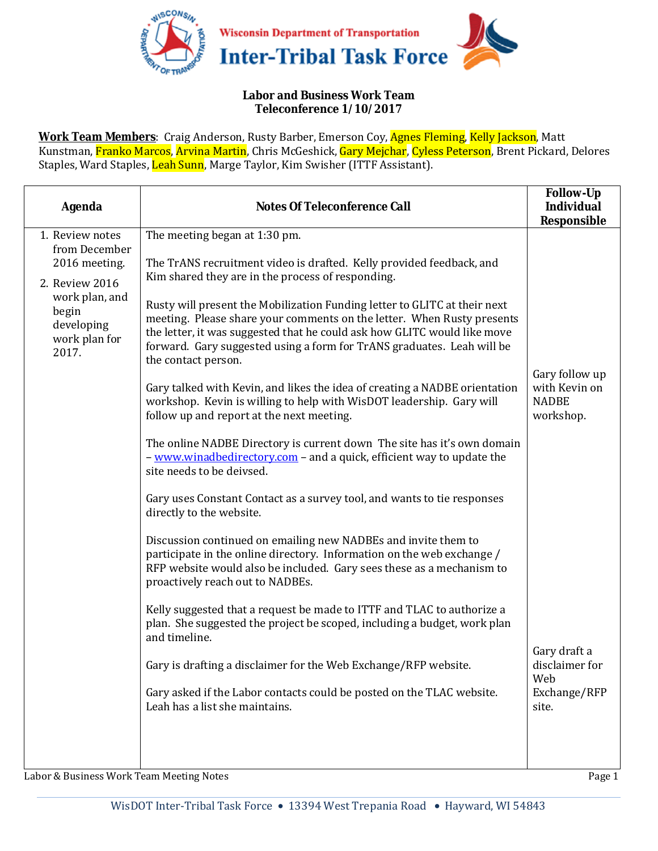

## **Labor and Business Work Team Teleconference 1/10/2017**

**Work Team Members**: Craig Anderson, Rusty Barber, Emerson Coy, Agnes Fleming, Kelly Jackson, Matt Kunstman, Franko Marcos, Arvina Martin, Chris McGeshick, Gary Mejchar, Cyless Peterson, Brent Pickard, Delores Staples, Ward Staples, Leah Sunn, Marge Taylor, Kim Swisher (ITTF Assistant).

| <b>Agenda</b>                                                                                                                          | <b>Notes Of Teleconference Call</b>                                                                                                                                                                                                                                                                                                                                                                                                                                                                                                                                                                                                                                                                                                                                                                                                                                                                                                                                                                                                                                                                                                                                                                                                                | <b>Follow-Up</b><br><b>Individual</b><br>Responsible         |
|----------------------------------------------------------------------------------------------------------------------------------------|----------------------------------------------------------------------------------------------------------------------------------------------------------------------------------------------------------------------------------------------------------------------------------------------------------------------------------------------------------------------------------------------------------------------------------------------------------------------------------------------------------------------------------------------------------------------------------------------------------------------------------------------------------------------------------------------------------------------------------------------------------------------------------------------------------------------------------------------------------------------------------------------------------------------------------------------------------------------------------------------------------------------------------------------------------------------------------------------------------------------------------------------------------------------------------------------------------------------------------------------------|--------------------------------------------------------------|
| 1. Review notes<br>from December<br>2016 meeting.<br>2. Review 2016<br>work plan, and<br>begin<br>developing<br>work plan for<br>2017. | The meeting began at 1:30 pm.<br>The TrANS recruitment video is drafted. Kelly provided feedback, and<br>Kim shared they are in the process of responding.<br>Rusty will present the Mobilization Funding letter to GLITC at their next<br>meeting. Please share your comments on the letter. When Rusty presents<br>the letter, it was suggested that he could ask how GLITC would like move<br>forward. Gary suggested using a form for TrANS graduates. Leah will be<br>the contact person.<br>Gary talked with Kevin, and likes the idea of creating a NADBE orientation<br>workshop. Kevin is willing to help with WisDOT leadership. Gary will<br>follow up and report at the next meeting.<br>The online NADBE Directory is current down The site has it's own domain<br>- www.winadbedirectory.com - and a quick, efficient way to update the<br>site needs to be deivsed.<br>Gary uses Constant Contact as a survey tool, and wants to tie responses<br>directly to the website.<br>Discussion continued on emailing new NADBEs and invite them to<br>participate in the online directory. Information on the web exchange /<br>RFP website would also be included. Gary sees these as a mechanism to<br>proactively reach out to NADBEs. | Gary follow up<br>with Kevin on<br><b>NADBE</b><br>workshop. |
|                                                                                                                                        | Kelly suggested that a request be made to ITTF and TLAC to authorize a<br>plan. She suggested the project be scoped, including a budget, work plan<br>and timeline.<br>Gary is drafting a disclaimer for the Web Exchange/RFP website.<br>Gary asked if the Labor contacts could be posted on the TLAC website.                                                                                                                                                                                                                                                                                                                                                                                                                                                                                                                                                                                                                                                                                                                                                                                                                                                                                                                                    | Gary draft a<br>disclaimer for<br>Web<br>Exchange/RFP        |
|                                                                                                                                        | Leah has a list she maintains.                                                                                                                                                                                                                                                                                                                                                                                                                                                                                                                                                                                                                                                                                                                                                                                                                                                                                                                                                                                                                                                                                                                                                                                                                     | site.                                                        |

Labor & Business Work Team Meeting Notes Page 1